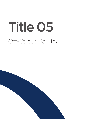# Off-Street Parking Title 05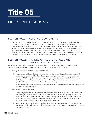## Title 05

### OFF-STREET PARKING

#### **Section 1105.01** GENERAL REQUIREMENTS

A. General Requirements. Any building, structure or use of land, when erected or enlarged, shall provide for off- street parking spaces for automobiles in accordance with the following provisions of this Chapter. A parking plan shall be required for all uses except one, two and three family dwellings. The parking plan shall be submitted to the Zoning Department as part of the application for the zoning certificate, as, applicable, to the Planning and Zoning Commission in conjunction with the site plan review process set forth under Chapter 1102 hereof. The plan shall show the boundaries of the property, parking spaces, access driveways, circulation patterns, drainage and construction plans, boundary walls, fences and a screening plan, as appropriate.

#### **SECTION 1105.02** PARKING OF TRUCKS, VEHICLES AND RECREATIONAL EQUIPMENT

The provision of parking space, either open or enclosed, for the parking or storage of vehicles or recreational equipment in a residential zoning district for residential uses shall be subject to the following:

- A. Parking of Commercial Trucks and Commercial Vehicles.
	- (1) To protect the residential character of neighborhoods and to protect the public from the danger and nuisance of large commercial vehicles, the storage or parking of commercial vehicles exceeding ten thousand (10,000) pounds gross vehicle weight or twenty-five (25) feet in length, including but not limited to tractors, trailers, semi-trailers, and trucks is hereby classified as an industrial use and is prohibited in residential zones except for loading and unloading.
	- (2) A commercial vehicle shall be any motor vehicle or trailer whose primary function is to move property for business and industrial purpose.
- B. Parking of Recreational Equipment.
	- (1) The parking of recreational equipment and vehicles up to 25 feet in length and/or 10,000 pounds gross vehicle weight, including but not limited to travel trailers, motor homes, pickup campers, folding tent trailers, boats or boat trailers, and other similar recreational equipment and vehicles, semi-trailers, travel trailers, or other trailers or motor homes shall not be permitted on any street within the City, other than for the purpose of loading or unloading such equipment or vehicle.
	- (2) Recreational vehicles and equipment shall have no connections to electricity, water, gas or sanitary sewer facilities, nor shall they be used for dwelling, business, or commercial purposes or for any accessory uses in any zoning district.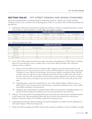#### **Section 1105.03** OFF-STREET PARKING AND DESIGN STANDARDS

All off-street parking facilities (excluding parking for single family detached, 2-family, and 3-family dwellings) including entrances, exits, circulation areas and parking spaces shall be in accordance with the following standards and specifications:

A. Parking Space Dimensions. Each off-street parking space shall have minimum rectangular dimensions, exclusive of access drives or aisles and shall be of useable shape and condition, as follows:

|               | PARKING ANGLE (DIMENSIONS IN FEET) <b>I</b> |            |            |            |  |
|---------------|---------------------------------------------|------------|------------|------------|--|
| Parking Space | Parallel                                    | 45 Degrees | 60 Degrees | 90 Degrees |  |
| Width         | 10                                          |            |            |            |  |
| Length        | 23                                          | 2С         | 20         | 2С         |  |

#### B. Minimum parking aisle width:

|                               | <b>MINIMUM AISLE WIDTH (FEET)</b> |               |  |  |  |
|-------------------------------|-----------------------------------|---------------|--|--|--|
| Angle of Parking<br>(degrees) | One-Way Aisle                     | Two-Way Aisle |  |  |  |
| Parallel                      | 13                                | 20            |  |  |  |
| Up to 49                      | 13                                |               |  |  |  |
| 50 to 79                      |                                   |               |  |  |  |
| 80 or more                    | N/A                               | 22            |  |  |  |

- C. Access. There shall be adequate provisions for ingress and egress to all parking spaces. Where the lot or parking spaces do not provide direct access to a public street, an access drive shall be provided, with a dedicated easement of access as follows:
	- (1) Entrance and exits shall be located to minimize traffic congestion and avoid undue interference with pedestrian access at street intersection corners. Curb cuts shall be limited to one per lot per road frontage or limited to one per 200 feet of road frontage. Such accessways shall be a maximum of thirty (30) feet in width at the street right of way and a maximum of forty-five (45) feet in width at the curb cut line of the street. Driveway curb returns shall not exceed 10 feet in radius. Residential uses may have accessways of not less than ten feet at the right of way nor more than forty-five (45) feet at the curb cut line of the street.
	- (2) All parking spaces, except those required for one, two or three family dwellings, shall have access to a public street in such a manner that any vehicle leaving or entering the parking area from or into a public street shall be traveling in a forward motion.
	- (3) Parking for uses not permitted in a residential district shall not be permitted in a Residential district, nor shall any R-District property be utilized as access for uses not permitted in that R-District.
- D. Setbacks. The location of off-street parking facilities may be located in the required yards as specified elsewhere in this Zoning Code. Off-street parking facilities shall not be located in the required front and side yard setbacks. A minimum setback of 5 feet shall be required from all property lines.
- E. Landscaping and Screening. Off-street parking areas shall be landscaped in accordance with the regulations set forth under Chapter 1106 of this Zoning Code.
- F. Paving. Any off-street parking area shall be surfaced with a pavement of asphalt or concrete of sufficient strength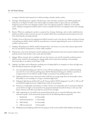to support vehicular loads imposed on it while providing a durable, dustless surface.

- G. Drainage. All parking spaces, together with driveways, aisles and other circulation areas shall be graded and drained so as to dispose of surface water which might accumulate within or upon such area, and shall be designed to prevent the excess drainage of surface water onto adjacent properties, walkways or onto public streets. Adequate arrangements shall be made to insure acceptable diversion to an adequate storm water drainage system.
- H. Barriers. Wherever a parking lot extends to a property line, fencing, wheelstops, curbs or other suitable barriers shall be provided in order to prevent any part of a parked vehicle form extending beyond the property line and from destroying the screening materials.
- I. Visibility. Access of driveways for parking areas shall be located in such a way that any vehicle entering or leaving such parking area shall be clearly visible by any pedestrian or motorist approaching the access or driveway from a public or private street.
- J. Marking. All parking areas shall be marked with paint lines, curb stones or in some other manner approved by the City and shall be maintained in a clearly visible condition.
- K. Maintenance. Any owner of property used for parking areas shall maintain such areas in good condition without potholes and free from all dust, trash, weeds and other debris.
- L. Signage. Where necessary, due to multiple curb cuts, the entrance, exits and the intended circulation pattern shall be clearly marked in the parking area. Signage shall consist of pavement markings or freestanding directional signs in accordance with Chapter 1108.
- M. Lighting. Any lights used to illuminate a parking area or loading shall be so arranged as to direct the light away from the adjacent properties and right of way.
	- (1) Any nonresidential parking area with ten or more off-street parking spaces and any residential parking area with 20 or more off-street parking spaces shall be illuminated during poor visibility to provide an average intensity of one-half foot candles of light as measured at the parking surface area.
	- (2) Lighting uniformity across a horizontal surface shall have an average range from one footcandle to three footcandles or not exceeding 4:1 average to minimum light levels.
	- (3) Parking lot light fixtures shall be full-cut-off. Fixtures shall be IESNA designated "cut-off" or "full cut-off" and shall direct light downward. Angled fixtures shall not be permitted.
	- (4) Fixtures in a residentially zoned district or within 150 feet of a residentially used or zoned parcel shall not exceed 20 feet in height as measured from the ground immediately beneath the fixture to the top of the fixture. Fixtures in all other areas shall not exceed 35 feet in height.
	- (5) Light originating on a site shall not be permitted beyond the site to exceed the following values when measured at grade, 10 feet beyond the property line for the following adjacent properties:
		- i. Residential: 0.3 footcandles
		- ii. Industrial/warehouse: 1.5 footcandles
		- iii. Multi-family: 0.5 footcandles
		- iv. Office/commercial: 1.0 footcandles
	- (6) Building-mounted lighting utilized for the purposes of this section shall be fully shielded, and directed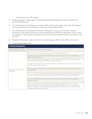downward to prevent off-site glare.

- N. Handicapped Spaces. Parking spaces for the physically handicapped shall be provided as required in the American Disabilities Act.
- O. Use of Parking Spaces. No parking areas or spaces shall be used for sales, storage, repair work, dismantling or servicing of any kind, nor for parking for any other than self-propelled vehicles.
- P. Use of Parking Spaces for Temporary Promotions. Parking areas or spaces may be used for temporary promotions or sales which are extensions of the principal business conducted on the property. Such use shall be contingent on the issuing of an appropriate permit, and use duration shall be limited as specified in Section 1104.09.
- Q. Promotions. Promotions conducted entirely for charitable purposes shall be exempted from this section.
- R. Special Parking Requirements

| <b>EV PARKING REQUIREMENTS</b>                         |                                                                                                                                                                                                                                                                                                                         |  |  |
|--------------------------------------------------------|-------------------------------------------------------------------------------------------------------------------------------------------------------------------------------------------------------------------------------------------------------------------------------------------------------------------------|--|--|
| Minimum Spaces (Parking<br>lots of 200 spaces or more) | 1 EV plug-in service point per 200 spaces                                                                                                                                                                                                                                                                               |  |  |
|                                                        | Plug-in points must be associated with an individual parking space.                                                                                                                                                                                                                                                     |  |  |
|                                                        | Charging equipment may have multiple plug in points to serve any of the immediately<br>adjacent parking spaces.                                                                                                                                                                                                         |  |  |
|                                                        | Plug-in points and charging equipment shall be installed at the end or to the side of the<br>associated parking space, preferably in a landscape area.                                                                                                                                                                  |  |  |
| EV Parking Space Design<br>Standards                   | If located in a sidewalk, the equipment and clear operating space shall not conflict with any<br>required clear pedestrian path.                                                                                                                                                                                        |  |  |
|                                                        | Plug-in points are exempt from the service structure screening requirements outlined in<br>Chapter 1106.                                                                                                                                                                                                                |  |  |
|                                                        | A 3 ft. x 3 ft. space shall be provided between the parked car and the EV equipment for the<br>purpose of operating the equipment, except as otherwise required by ADA regulations.                                                                                                                                     |  |  |
|                                                        | Curbs or wheel stops shall be utilized to prevent vehicle overhang into the equipment<br>operation space.                                                                                                                                                                                                               |  |  |
|                                                        | A sign, 12" wide by 21" tall indicating "Electric Vehicle Charging Station" on a shall be<br>centered at the end of the parking space, mounted at a height of 7 ft. from grade to the<br>bottom of the sign. MUTCD standard blue and green colors, and icon for electric vehicle<br>charging shall be used on the sign. |  |  |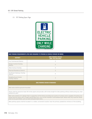(1) EV Parking Space Sign



#### BIKE PARKING REQUIREMENTS (FOR USES REQUIRED TO PROVIDE 20 VEHICLE SPACES OR MORE)

| <b>DISTRICT</b>                              | <b>BIKE PARKING SPACES</b><br>(MIN. PER BUILDING) |
|----------------------------------------------|---------------------------------------------------|
| Any Commercial District                      | $\overline{2}$                                    |
| Design Control Overlay<br><b>District</b>    | $\overline{4}$                                    |
| West Avenue Overlay                          | $\overline{4}$                                    |
| <b>Planned Residence District</b>            | $\overline{2}$                                    |
| Southeast Gateway Overlay<br><b>District</b> | $\overline{4}$                                    |
| Neighborhood Center<br>Overlay District      | $\overline{2}$                                    |

#### BIKE PARKING DESIGN STANDARDS

Bike racks shall be ground-mounted.

Racks shall be spaced at least 36 inches apart and provide a 84 inches length for bike parking without obstructing any clear pedestrian path.

Bike racks shall be of a design that is supportive of the frame providing two points of contact and is capable of locking one wheel and the frame with a single typical bike lock, such as the inverted U and bollard-style. Racks that only hold the wheel shall not be permitted, such as wave and grid style racks,

Bike parking spaces shall be located in a visible, convenient location near the primary pedestrian entrance of the building.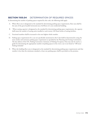#### **Section 1105.04** DETERMINATION OF REQUIRED SPACES

In determining the number of parking spaces required by this code, the following shall apply:

- A. Where floor area is designated as the standard for determining parking space requirements, floor area shall be the sum of the gross leasable horizontal area of all floors of a non-residential building.
- B. Where seating capacity is designated as the standard for determining parking space requirements, the capacity shall mean the number of seating units installed or each twenty (20) lineal inches of seating facilities.
- C. Fractional numbers shall be increased to the next highest whole number.
- D. Parking space requirements for a use not specifically mentioned in this Code shall be determined by using the most similar and restrictive parking space requirement as specified by the Planning and Zoning Commission. The last edition of the ITE, Parking Generation: Summary of Parking Occupancy Data may also be used as a guide for determining the appropriate number of parking spaces in the event a use is not listed in "Off-street Parking Schedule"
- E. When the building floor area is designated as the standard for determining parking space requirements and that number is less than the minimum standard, at least one parking space shall be provided on the premises.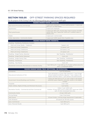#### **Section 1105.05** OFF-STREET PARKING SPACES REQUIRED

For the purpose of this Zoning Code, the following parking space requirements shall apply.

| <b>REQUIRED MINIMUM PARKING: AGRICULTURE</b>             |                                                                                                                                                                                     |  |  |  |  |
|----------------------------------------------------------|-------------------------------------------------------------------------------------------------------------------------------------------------------------------------------------|--|--|--|--|
| Agricultural Processing and Storage                      | 1 space per employee + 2 truck loading spaces + 1 space per<br>300 sq. ft. of retail space                                                                                          |  |  |  |  |
| Agroforestry                                             | 1 space per employee                                                                                                                                                                |  |  |  |  |
| Plant greenhouses                                        | 1 space per 300 sq.ft. of gross floor area in excess of 4,000<br>square feet, plus 1 space per 1,000 sq. ft. outdoor sales or<br>display area                                       |  |  |  |  |
| Stable                                                   | 1 space per 4 animal stalls                                                                                                                                                         |  |  |  |  |
| Urban Agriculture - Community Garden                     | 1 space per 5,000 square feet of garden area                                                                                                                                        |  |  |  |  |
|                                                          | REQUIRED MINIMUM PARKING: RESIDENTIAL                                                                                                                                               |  |  |  |  |
| Dwelling - Multifamily, Multifamily Complex              |                                                                                                                                                                                     |  |  |  |  |
| Multi-unit living: Studio - 1 bedroom                    | 1 space/ unit                                                                                                                                                                       |  |  |  |  |
| Multi-unit living: 2 bedrooms                            | $1.5$ space/ unit                                                                                                                                                                   |  |  |  |  |
| Multi-unit living: 3 bedrooms                            | 2.25 space/ unit                                                                                                                                                                    |  |  |  |  |
| Multi-unit living: 4 bedrooms                            | 2.5 space/ unit                                                                                                                                                                     |  |  |  |  |
| Dwelling - Single Family, Attached                       | See "Dwelling - Multifamily"                                                                                                                                                        |  |  |  |  |
| Dwelling - Single Family, Detached                       | 2 per unit                                                                                                                                                                          |  |  |  |  |
| Dwelling - Single Family, Flats                          | See "Dwelling - Multifamily"                                                                                                                                                        |  |  |  |  |
| Dwelling - Townhouse                                     | See "Dwelling - Multifamily"                                                                                                                                                        |  |  |  |  |
| Dwelling - Two-Family                                    | 2 per unit                                                                                                                                                                          |  |  |  |  |
| Residential Community Recreational or Amenity Facility   | 1 per 300 sq. ft. + 1 per 250 sq. ft. of water surface area of a<br>pool + 2 employee spaces                                                                                        |  |  |  |  |
|                                                          | REQUIRED MINIMUM PARKING: PUBLIC, INSTITUTIONAL, AND RECREATIONAL                                                                                                                   |  |  |  |  |
| Cemeteries                                               | 1 per 50 gravesites                                                                                                                                                                 |  |  |  |  |
| Educational Institutions (P-12)                          | 3 per elementary or junior high classroom + 1 per 10 high<br>school student enrollment capacity $+1$ per 4 seats in the<br>largest assembly space + 1 per teacher and administrator |  |  |  |  |
| Government Owned Buildings and Facilities                | 1 space per 500 gross sq. ft. or 1 per 2 seats in the largest<br>assembly space capacity, whichever results in the largest<br>number                                                |  |  |  |  |
| Hospitals                                                | 2 per 1 bed                                                                                                                                                                         |  |  |  |  |
| Public Utilities, Rights-Of-Way and Pertinent Structures | 1 per facility                                                                                                                                                                      |  |  |  |  |
| Recreation Facility - Commercial and Non-Commercial      | Indoor: 4 per 1,000 sq.ft.<br>Outdoor: 20 per sport court or field, and 1 space per 5,000<br>sq.ft. of other developed land area                                                    |  |  |  |  |
| <b>Community Center</b>                                  | 2.5 per 1,000 sq.ft.                                                                                                                                                                |  |  |  |  |
| Driving Range                                            | 2 per 3 tee boxes                                                                                                                                                                   |  |  |  |  |
| Golf Course                                              | 20 per 9 holes + driving range requirement if applicable                                                                                                                            |  |  |  |  |
| Golf, Miniature                                          | 20 spaces per 18-hole course                                                                                                                                                        |  |  |  |  |
| Gym, Commercial                                          | 1 per 300 sq. ft.                                                                                                                                                                   |  |  |  |  |
| Gym, Personal Studio                                     | 1 per 300 sq. ft.                                                                                                                                                                   |  |  |  |  |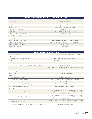| REQUIRED MINIMUM PARKING: PUBLIC, INSTITUTIONAL, AND RECREATIONAL |                                                                                                 |  |  |  |
|-------------------------------------------------------------------|-------------------------------------------------------------------------------------------------|--|--|--|
| Park, Active                                                      | 1 per acre; 20 per sport court or field; 1 space per 75 sq. ft. of<br>water surface of<br>pools |  |  |  |
| Park, Passive                                                     | 2 per 1 acre of land                                                                            |  |  |  |
| Nature Preserve                                                   | 2 per mile of trail or 1 per 3 acres                                                            |  |  |  |
| Recreational Center, Public                                       | 4 per 1,000 sq. ft.                                                                             |  |  |  |
| Skate Park                                                        | 1 per 500 sq. ft. of skating surface area                                                       |  |  |  |
| Skating Rinks, Ice and Roller                                     | 5 per 1,000 sq. ft.                                                                             |  |  |  |
| Sports Arenas and Stadiums                                        | 20 per field or court                                                                           |  |  |  |
| Swimming Pools, Commercial                                        | 1 per 75 sq. ft. of pool area                                                                   |  |  |  |
| Tennis Facilities, Commercial                                     | 3 per court or 1 per 18 inches of bench area                                                    |  |  |  |
| Indoor Shooting Range                                             | 1 spaces per lane + 1 per 300sq. ft. of retail space                                            |  |  |  |
| Religious Places of Worship                                       | 3 per 7 seats                                                                                   |  |  |  |
| Telecommunications                                                | 1 per facility                                                                                  |  |  |  |

| REQUIRED MINIMUM PARKING:COMMERCIAL                      |                                                                                                                                                     |  |  |  |
|----------------------------------------------------------|-----------------------------------------------------------------------------------------------------------------------------------------------------|--|--|--|
| Amusement arcades                                        | 1 space per employee + 1 space for every 3 games                                                                                                    |  |  |  |
| Animal Care                                              |                                                                                                                                                     |  |  |  |
| Animal Care - General Services                           | 1 per 10 pet accommodation spaces                                                                                                                   |  |  |  |
| Animal Care - Kennel                                     | 1 per 10 pet accommodation spaces                                                                                                                   |  |  |  |
| Animal Care - Veterinary Offices                         | 4 per treatment room                                                                                                                                |  |  |  |
| Animal Care - Veterinary Urgent Care and Hospitals       | 4 per treatment room                                                                                                                                |  |  |  |
| Antique Shop                                             | 1 per 300 sq. ft. + 1 per 400 sq. ft. for GFA beyond 2,000 sq.<br>ft.                                                                               |  |  |  |
| ATM (Walk-up), Bank Machines                             | 2 per ATM                                                                                                                                           |  |  |  |
| <b>Auction Facility</b>                                  | 1 per 4 seats of capacity                                                                                                                           |  |  |  |
| Automotive                                               |                                                                                                                                                     |  |  |  |
| Automotive - Car Wash                                    | 2 per bay + 1 per vacuum                                                                                                                            |  |  |  |
| Automotive - Filling stations                            | 4 per 1,000 sq. ft., plus 1 per dispensing station                                                                                                  |  |  |  |
| Automotive - Sales and Leasing                           | 2 per 1,000 sq.ft.                                                                                                                                  |  |  |  |
| Automotive - Service: Light, Heavy                       | 2 per bay + 1 per 300 square feet                                                                                                                   |  |  |  |
| <b>Bed and Breakfast Establishments</b>                  | 1 per guestroom + 2 for operator                                                                                                                    |  |  |  |
| Beverage                                                 |                                                                                                                                                     |  |  |  |
| Beverage - Alcoholic Production                          | 1 per 1,500 square feet of production area, plus 1 space per 4<br>seats in any tasting room or other visitor facility open to the<br>general public |  |  |  |
| Beverage - Brewing and Distilling                        | 1 per 1,500 square feet of production area, plus 1 space per 4<br>seats in any tasting room or other visitor facility open to the<br>general public |  |  |  |
| Beverage - Distribution                                  | 1 space per 5,000 sq. ft. of GFA + additional spaces for office<br>use                                                                              |  |  |  |
| Beverage - Microbrewery, Microdistillery, or Microwinery | 1 space per 200 square feet                                                                                                                         |  |  |  |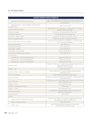| REQUIRED MINIMUM PARKING:COMMERCIAL                            |                                                                                                                                                     |  |  |  |
|----------------------------------------------------------------|-----------------------------------------------------------------------------------------------------------------------------------------------------|--|--|--|
| Beverage - Non-Alcoholic Production                            | 1 per 1,500 square feet of production area, plus 1 space per 4<br>seats in any tasting room or other visitor facility open to the<br>general public |  |  |  |
| Beverage Sales - Liquor and Beer Sit Down/Bar<br>Establishment | 1 space per 100 sq.ft.                                                                                                                              |  |  |  |
| <b>Building Materials Stores</b>                               | 2 per 1,000 sq. ft. of floor area + 1 per 1,000 sq. ft. of open<br>area for sales and display                                                       |  |  |  |
| Clubs and lodges                                               | 1 space per 200 square feet of floor area.                                                                                                          |  |  |  |
| <b>Contractor Services</b>                                     | 1 per employee of the largest shift                                                                                                                 |  |  |  |
| Day Care - Child or Adult                                      | 1 space per 10 clients at licensed capacity                                                                                                         |  |  |  |
| Drive-in Establishments                                        | 1 space per 50 sq.ft., 10 spaces minimum                                                                                                            |  |  |  |
| Event Center-Public, Private, and Barn                         | 1 space per every 2 persons of capacity, or 1 space per 100<br>sq.ft., whichever is greater                                                         |  |  |  |
| <b>Exercise and Fitness</b>                                    | 1 per 300 sq.ft.                                                                                                                                    |  |  |  |
| <b>Financial Institutions</b>                                  | 2 per 1,000 sq. ft.                                                                                                                                 |  |  |  |
| Food Sales - Bakery                                            | 3 per 1,000 sq. ft.                                                                                                                                 |  |  |  |
| Food Sales - Farm Market                                       | 6 plus 1 per 250 sq.ft.                                                                                                                             |  |  |  |
| Food Sales - Small Format Grocery                              | 3 per 1,000 sq. ft.                                                                                                                                 |  |  |  |
| Food Service                                                   |                                                                                                                                                     |  |  |  |
| Food Service - Fast Casual Restaurant                          | 1 space per 100 sq.ft.                                                                                                                              |  |  |  |
| Food Service - Fast Food Restaurant                            | 1 space per 75 sq.ft.                                                                                                                               |  |  |  |
| Food Service - Full Service Restaurant                         | 1 space per 100 sq.ft.                                                                                                                              |  |  |  |
| <b>Funeral Home</b>                                            | 5 spaces + 250 sq. ft. of usable and accessible paved parking<br>area for every 25 sq. ft. of<br>assembly room floor area                           |  |  |  |
| Gallery - Art                                                  | 3 per 1,000 sq. ft.                                                                                                                                 |  |  |  |
| Garden Center - Indoor and Outdoor                             | 2.5 per 1,000 sq. ft. of gross building area excluding<br>greenhouse area                                                                           |  |  |  |
| Home Occupation                                                | None above the residential requirement                                                                                                              |  |  |  |
| Hotel and Motel                                                | 0.8 per room plus 1 per 800 sq. ft. of public meeting area and<br>restaurant space                                                                  |  |  |  |
| Live/ Work Unit                                                | 1.33 spaces per unit; for buildings with more than 10 live-work<br>units: 1 space per unit                                                          |  |  |  |
| Medical - Clinic                                               | 4 per treatment room                                                                                                                                |  |  |  |
| <b>Medical - Emergency Services</b>                            | 1.75 per bed                                                                                                                                        |  |  |  |
| Medical - Office                                               | 4 per treatment room                                                                                                                                |  |  |  |
| Mixed Use Building                                             | as specified by use with shared parking adjustment as<br>defined by this section                                                                    |  |  |  |
| <b>Nursing Facility</b>                                        | 1 per 4 beds                                                                                                                                        |  |  |  |
| Office                                                         |                                                                                                                                                     |  |  |  |
| Office - Data Processing/Call Center                           | 1 space per 50 sq.ft. of computer or telephone bank area;<br>plus additional spaces for office use                                                  |  |  |  |
| Office - Industrial Office                                     | 3 per 1,000 sq.ft.                                                                                                                                  |  |  |  |
| Office, Flex                                                   | 1 per 1,500 square feet warehouse or shop area;<br>3 per 1,000 sq.ft. of office area                                                                |  |  |  |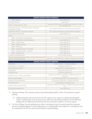| <b>REQUIRED MINIMUM PARKING:COMMERCIAL</b>                                                     |                                                                                         |  |  |  |
|------------------------------------------------------------------------------------------------|-----------------------------------------------------------------------------------------|--|--|--|
| Office, General                                                                                | 3 per 1,000 sq.ft.                                                                      |  |  |  |
| Personal services                                                                              | 3 per chair                                                                             |  |  |  |
| Public storage garage or yards                                                                 | 1 space per 5,000 sq. ft. for single tenant facility; or 1 space<br>per 6 storage units |  |  |  |
| Recreation Facility - Commercial Indoor, excluding<br>amusement arcades                        | See "Public/Institutional List: Recreational Facilities"                                |  |  |  |
| Recreation Facility - Commercial Outdoor                                                       | See "Public/Institutional List: Recreational Facilities"                                |  |  |  |
| Recreational Vehicle Sales                                                                     | 2 per 1,000 sq. ft.                                                                     |  |  |  |
| Retail                                                                                         |                                                                                         |  |  |  |
| Retail - Convenience with gasoline                                                             | 4 per 1,000 sq. ft., plus 1 per dispensing station                                      |  |  |  |
| Retail - Convenience without gasoline                                                          | 4 per 1,000 sq. ft.                                                                     |  |  |  |
| Retail - Large Format                                                                          | 3 per 1,000 sq. ft.                                                                     |  |  |  |
| Retail - Medium Format                                                                         | 3 per 1,000 sq. ft.                                                                     |  |  |  |
| Retail - Pharmacy                                                                              | 3 per 1,000 sq. ft.                                                                     |  |  |  |
| Retail - Shopping Center - Enclosed                                                            | 3 per 1,000 sq. ft.                                                                     |  |  |  |
| Retail - Shopping Center - Outdoor                                                             | 3 per 1,000 sq. ft.                                                                     |  |  |  |
| Retail - Small Format                                                                          | 4 per 1,000 sq. ft.                                                                     |  |  |  |
| <b>Sexually Oriented Business</b>                                                              | 2 per 5 people capacity                                                                 |  |  |  |
| Vehicles, equipment and tool sales or rental, with service and<br>repair in enclosed buildings | 2 per bay + 4 per 1,000 sq.ft. of sales/ customer/ visitor area                         |  |  |  |

| <b>REQUIRED MINIMUM PARKING: INDUSTRIAL</b> |                                                                         |  |  |
|---------------------------------------------|-------------------------------------------------------------------------|--|--|
| Crematory                                   | 5 visitor spaces + 2 employee spaces                                    |  |  |
| Food Service - Processing                   | 1 space per 1,500 sq. ft.                                               |  |  |
| Fuel distribution station                   | 1 space 1,500 s.ft. gross floor area                                    |  |  |
| Makerspace                                  | 3 space per 1,000 sq. ft.                                               |  |  |
| Manufacturing                               | 1 space per 1,500 sq. ft.                                               |  |  |
| Manufacturing - Artisan/ Small Batch        | 3 spaces per 1,000 sq. ft. of GFA + additional spaces for<br>office use |  |  |
| Motor Freight Garage                        | 1 per 2,000 square feet + 2 per service bay                             |  |  |
| Research and development                    | 1.5 spaces per 1,000 sq. ft. of gross floor area                        |  |  |
| Technology Park                             | as specified per individual uses                                        |  |  |
| Warehousing and Distribution                | 1 space per 5,000 sq. ft. of GFA + additional spaces for office<br>use  |  |  |
| Wholesale Establishment                     | 1 per 3,000 sq. ft.                                                     |  |  |

- A. Maximum Parking. The maximum amount of permitted parking shall be 120% of the minimum required parking.
	- (1) Additional parking may be permitted with PZC approval. Any requests for additional parking shall include a parking study for the proposed use(s) and location describing justification for the additional parking, and any additional documentation that the commission requires to review the request.
- B. On-Street Parking. On-street parking spaces within a development may be counted towards the minimum amount of required parking. On-street parking spaces on existing public streets adjacent to a development may be considered by the PZC for credit toward minimum required parking.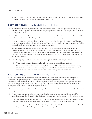C. Bonus for Proximity to Public Transportation. Buildings located within 1/4 mile of an active public transit stop may reduce their amount of required parking by ten percent (10%).

#### **Section 1105.06** PARKING HELD IN RESERVE

- A. If the number of spaces required above is substantially larger than the number of spaces anticipated by the applicant, then the applicant may hold some of the parking in reserve while ensuring adequate area for potential future parking demand.
- B. Suitable area that meets all dimensional and design requirements must be available on the overall site for 100% of the required parking, either through surface, structured, or on-street parking.
- C. The number of spaces which must be provided initially may be reduced by up to fifty percent (50%) by PZC upon recommendation by the Zoning Adminstrator. All engineering, including stormwater engineering, shall be designed based on total parking requirements, including the reserve.
- D. Applicants that anticipate needing less than 100% of the total parking spaces required shall design their developments with suitable area for the eventual construction of the balance of the required parking spaces. These spaces, until their construction, shall be held in reserve by the applicant. The reserve parking spaces shall be constructed by the applicant if and when determined necessary by the PZC, upon recommendation of the Zoning Administrator
- E. The PZC may require installation of additional parking spaces under the following conditions:
	- (1) When there is evidence of a continued overflow of parking as installed by the applicant.
	- (2) When a re-evaluation of the parking capacity by the Zoning Administrator shows that future parking needs will not be met. The parking capacity shall be re-evaluated whenever there is a change in use, ownership, number of employees, number of residents, building size, and/or land area.

#### **Section 1105.07** SHARED PARKING PLAN

Where a mix of land uses on one or more properties or within one or more buildings can demonstrate parking utilization in staggered peak periods, a shared parking plan may be approved by the Planning and Zoning Commission to the reduce the minimum number of required off-street parking spaces for the applicable land use(s). A shared parking plan for the reduction of off-street parking requirements may be submitted to the Planning and Zoning Commission subject to the following requirements:

- A. Shared parking plans shall be limited to parking facilities located within five hundred feet (500 ft.) of the subject property or subject properties; and
- B. To the greatest extent practicable, adjacent lots included in a shared parking plan shall be connected for vehicular passage and shall provide safe and efficient pedestrian access to all uses served by the parking facilities.
- C. The parking spaces required in the above standards may be reduced when two or more establishments share the same parking area, whether on the same lot or on abutting lots, subject to the following conditions:
	- (1) That some portion of the shared off-street parking area lies within 500 feet of an entrance, regularly used by patrons, into the buildings served by the shared parking facilities.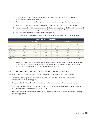- (2) That access and parking easements are prepared and recorded in Summit/Portage County for each property affected by the shared parking.
- D. The minimum amount of shared parking required shall be calculated according to the following formula:
	- (1) Calculate the minimum amount of parking required for each land use as if it were a separate use.
	- (2) To determine peak parking requirements, multiply the minimum parking required for each proposed land use by the corresponding percentage in the table below for each of the five time periods.
	- (3) Calculate the column total for each of the five time periods.
	- (4) The column (time period) with the highest value shall be the minimum shared parking requirement.

| <b>SHARED PARKING REQUIREMENTS</b> |                 |                 |                 |             |                 |                 |
|------------------------------------|-----------------|-----------------|-----------------|-------------|-----------------|-----------------|
|                                    | <b>WEEKDAYS</b> |                 | <b>WEEKENDS</b> |             |                 |                 |
| Use                                | 8 am - 6 pm     | 6 pm - Midnight | Midnight - 8 am | 8 am - 6 pm | 6 pm - Midnight | Midnight - 8 am |
| Office                             | 100%            | 10%             | 5%              | 10%         | 5%              | 5%              |
| Retail                             | 70%             | 90%             | 5%              | 100%        | 70%             | 5%              |
| Hotel/Motel                        | 75%             | 100%            | 100%            | 75%         | 100%            | 100%            |
| Restaurant                         | 60%             | 100%            | 10%             | 60%         | 100%            | 20%             |
| Entertainment/<br>Recreation       | 40%             | 100%            | 10%             | 80%         | 100%            | 50%             |
| Residential                        | 60%             | 100%            | 100%            | 80%         | 100%            | 100%            |

(5) Alternative to the above table, shared parking plans may be submitted utilizing ratios and modeling based on ULI shared parking methodology, APA parking metrics, or other experienced parking consultant's project specific data-based justification of reduced parking demand.

#### **Section 1105.08** REVIEW OF SHARED PARKING PLAN

A decision pertaining to an application for a shared parking plan shall be based on the following factors:

- A. The number of parking spaces otherwise required for the land uses that will share the parking facilities designated in the shared parking plan;
- B. Documentation that the peak parking utilization for the land uses occurs at different days and/or times;
- C. The demonstrated accessibility of the shared parking facilities, including the shared parking and cross-access agreement with each participating property owner; and
- D. Such other relevant documentation as the applicant(s) may provide to the City in conjunction with a parking reduction application.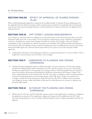#### **Section 1105.09** EFFECT OF APPROVAL OF SHARED PARKING PLAN

When a shared parking plan application is approved, the modified number of required off-street parking spaces for the applicable land uses shall be the largest number of parking spaces needed for the applicable land uses during the most intensive time period of parking utilization as demonstrated by the evidence presented for the application for a parking reduction.

#### **Section 1105.10** OFF-STREET LOADING REQUIREMENTS

In any district in connection with every building or part thereof hereafter erected and having a gross floor area of five thousand (5,000) square feet or more which is to be occupied by manufacturing, storage, warehouse, goods display, retail store, wholesale store, market, hotel, hospital, funeral home, laundry, dry cleaning or other uses similarly requiring the receipt or distribution by vehicles of materials or merchandise, there shall be provided and maintained, on the same lot with such building, at least one off-street loading space plus one additional such space for each twenty thousand (20,000) square feet or fraction thereof of gross floor area so used in excess of five thousand (5,000) square feet.

A. Loading Space Dimensions. Each loading space shall have a minimum dimensions of 12 feet in width, 55 feet in length and a vertical clearance of not less than 14 feet in height.

#### **Section 1105.11** SUBMISSION TO PLANNING AND ZONING **COMMISSION**

A. Detailed drawings including the location, width and number of entrance driveways to all necessary parking and off-street loading facilities shall be submitted to the PZC with the exception of one, two or three family dwellings, for approval prior to the granting of any zoning certificate. Such drawing shall show the number of spaces and locations, dimensions and descriptions of all features enumerated in this Chapter, Chapter 1102 and as required elsewhere in this Zoning Code. The PZC may require, in addition to those enumerated, further structural or landscaping features such as bumper guards, curbs, walls, fences, shrubs, trees, ground cover or hedges to further the intent and purposes of this Zoning Code. The PZC, in addition, may recommend such changes in location, width and number of driveways as it shall determine are necessary to eliminate any potential traffic hazards.

#### **Section 1105.12** ACTION BY THE PLANNING AND ZONING **COMMISSION**

A. Within sixty-five (65) days, the PZC shall either approve, approve with supplementary conditions, or disapprove the application as presented. If the application is approved or approved with modifications, the PZC shall direct the Zoning Inspector to issue a Zoning Certificate listing the specific conditions specified by the PZC for approval.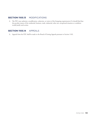#### **SECTION 1105.13 MODIFICATIONS**

A. The PZC may authorize a modification, reduction, or waiver of the foregoing requirements if it should find that the peculiar nature of the residential, business, trade, industrial, other use, exceptional situation or condition would justify such action.

#### **Section 1105.14** APPEALS

A. Appeals from the PZC shall be made to the Board of Zoning Appeals pursuant to Section 1102.